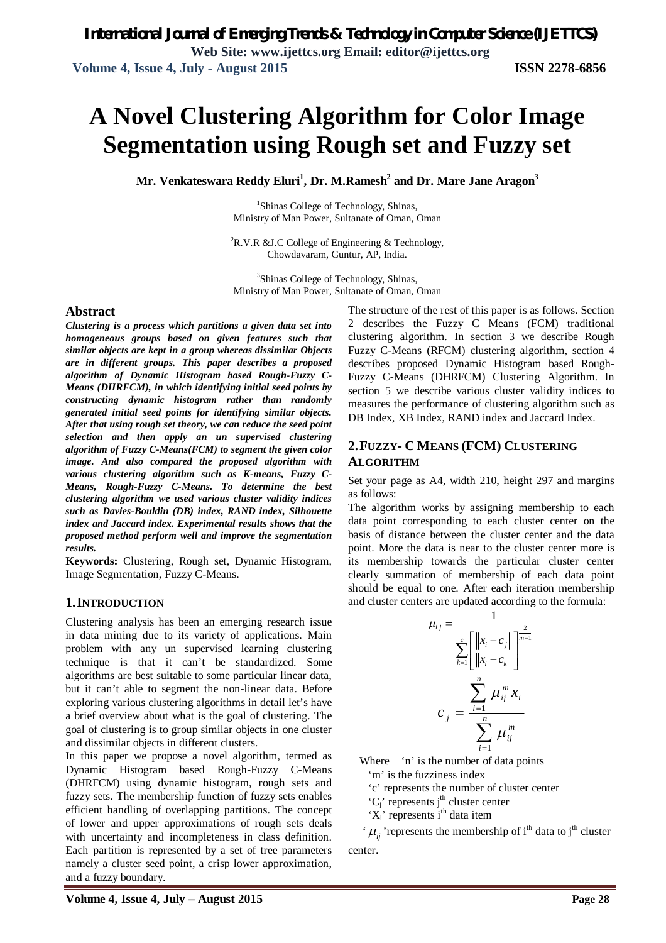# **A Novel Clustering Algorithm for Color Image Segmentation using Rough set and Fuzzy set**

**Mr. Venkateswara Reddy Eluri<sup>1</sup> , Dr. M.Ramesh<sup>2</sup> and Dr. Mare Jane Aragon<sup>3</sup>**

<sup>1</sup>Shinas College of Technology, Shinas, Ministry of Man Power, Sultanate of Oman, Oman

<sup>2</sup>R.V.R & J.C College of Engineering & Technology, Chowdavaram, Guntur, AP, India.

3 Shinas College of Technology, Shinas, Ministry of Man Power, Sultanate of Oman, Oman

#### **Abstract**

*Clustering is a process which partitions a given data set into homogeneous groups based on given features such that similar objects are kept in a group whereas dissimilar Objects are in different groups. This paper describes a proposed algorithm of Dynamic Histogram based Rough-Fuzzy C-Means (DHRFCM), in which identifying initial seed points by constructing dynamic histogram rather than randomly generated initial seed points for identifying similar objects. After that using rough set theory, we can reduce the seed point selection and then apply an un supervised clustering algorithm of Fuzzy C-Means(FCM) to segment the given color image. And also compared the proposed algorithm with various clustering algorithm such as K-means, Fuzzy C-Means, Rough-Fuzzy C-Means. To determine the best clustering algorithm we used various cluster validity indices such as Davies-Bouldin (DB) index, RAND index, Silhouette index and Jaccard index. Experimental results shows that the proposed method perform well and improve the segmentation results.*

**Keywords:** Clustering, Rough set, Dynamic Histogram, Image Segmentation, Fuzzy C-Means.

### **1.INTRODUCTION**

Clustering analysis has been an emerging research issue in data mining due to its variety of applications. Main problem with any un supervised learning clustering technique is that it can't be standardized. Some algorithms are best suitable to some particular linear data, but it can't able to segment the non-linear data. Before exploring various clustering algorithms in detail let's have a brief overview about what is the goal of clustering. The goal of clustering is to group similar objects in one cluster and dissimilar objects in different clusters.

In this paper we propose a novel algorithm, termed as Dynamic Histogram based Rough-Fuzzy C-Means (DHRFCM) using dynamic histogram, rough sets and fuzzy sets. The membership function of fuzzy sets enables efficient handling of overlapping partitions. The concept of lower and upper approximations of rough sets deals with uncertainty and incompleteness in class definition. Each partition is represented by a set of tree parameters namely a cluster seed point, a crisp lower approximation, and a fuzzy boundary.

The structure of the rest of this paper is as follows. Section 2 describes the Fuzzy C Means (FCM) traditional clustering algorithm. In section 3 we describe Rough Fuzzy C-Means (RFCM) clustering algorithm, section 4 describes proposed Dynamic Histogram based Rough-Fuzzy C-Means (DHRFCM) Clustering Algorithm. In section 5 we describe various cluster validity indices to measures the performance of clustering algorithm such as DB Index, XB Index, RAND index and Jaccard Index.

### **2.FUZZY- C MEANS (FCM) CLUSTERING ALGORITHM**

Set your page as A4, width 210, height 297 and margins as follows:

The algorithm works by assigning membership to each data point corresponding to each cluster center on the basis of distance between the cluster center and the data point. More the data is near to the cluster center more is its membership towards the particular cluster center clearly summation of membership of each data point should be equal to one. After each iteration membership and cluster centers are updated according to the formula:

$$
\mu_{ij} = \frac{1}{\sum_{k=1}^{c} \left[ \frac{\left\| x_i - c_j \right\|}{\left\| x_i - c_k \right\|} \right]^{\frac{2}{m-1}}}
$$
\n
$$
c_j = \frac{\sum_{i=1}^{n} \mu_{ij}^m x_i}{\sum_{i=1}^{n} \mu_{ij}^m}
$$

Where 'n' is the number of data points

'm' is the fuzziness index

'c' represents the number of cluster center

 $^{\circ}C_{i}$ ' represents j<sup>th</sup> cluster center

 $X_i$ <sup>t</sup> represents i<sup>th</sup> data item

'  $\mu$ <sub>ii</sub>' represents the membership of i<sup>th</sup> data to j<sup>th</sup> cluster center.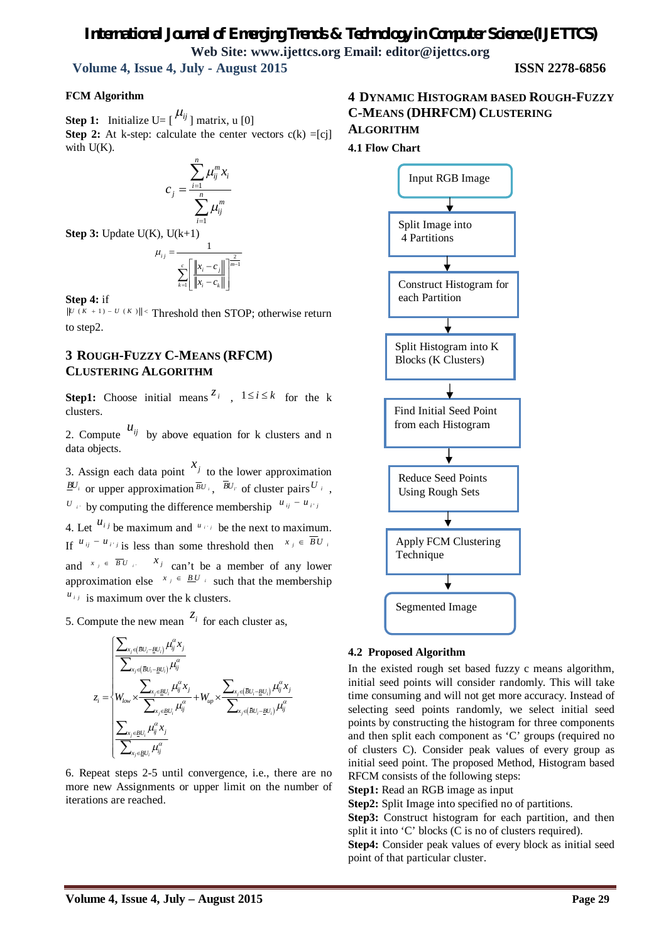**Volume 4, Issue 4, July - August 2015 ISSN 2278-6856**

#### **FCM Algorithm**

**Step 1:** Initialize U=  $[\mu_{ij}]$  matrix, u [0] **Step 2:** At k-step: calculate the center vectors  $c(k) = [c]$ with U(K).

$$
c_j = \frac{\sum_{i=1}^n \mu_{ij}^m x_i}{\sum_{i=1}^n \mu_{ij}^m}
$$
  
, U(k+1)

**Step 3:** Update  $U(K)$ .

$$
\mu_{ij} = \frac{1}{\sum_{k=1}^{c} \left[ \frac{\left\| x_i - c_j \right\|}{\left\| x_i - c_k \right\|} \right]^{\frac{2}{m-1}}}
$$

**Step 4:** if

 $||U (K + 1) - U (K)||$  Threshold then STOP; otherwise return to step2.

### **3 ROUGH-FUZZY C-MEANS (RFCM) CLUSTERING ALGORITHM**

**Step1:** Choose initial means  $\overline{z_i}$ ,  $1 \le i \le k$  for the k clusters.

2. Compute  $u_{ij}$  by above equation for k clusters and n data objects.

3. Assign each data point  $x_j$  to the lower approximation  $B$ *U<sub><i>i*</sub></sub> or upper approximation  $\overline{B}U_i$ ,  $\overline{B}U_i$  of cluster pairs  $U_i$ , *U i* by computing the difference membership  $u_{ij} - u_{i'j}$ 

4. Let  $u_{ij}$  be maximum and  $u_{ij}$  be the next to maximum. If  $u_{ij} - u_{i'j}$  is less than some threshold then  $x_j \in BU_i$ and  $x_j \in \overline{B}U_j$   $x_j$  can't be a member of any lower approximation else  $x_j \in BU$  is such that the membership  $u_{ij}$  is maximum over the k clusters.

5. Compute the new mean  $z_i$  for each cluster as,

$$
z_i=\begin{cases}\frac{\displaystyle\sum_{\mathbf{x}_j\in(\bar{B}U_i-BU_i)}\mu_{ij}^\alpha x_j}{\displaystyle\sum_{\mathbf{x}_j\in(\bar{B}U_i-BU_i)}\mu_{ij}^\alpha}\\ u_{i\infty}>\frac{\displaystyle\sum_{\mathbf{x}_j\in\mathcal{BU}_i}\mu_{ij}^\alpha x_j}{\displaystyle\sum_{\mathbf{x}_j\in\mathcal{BU}_i}\mu_{ij}^\alpha}+W_{up}\times\frac{\displaystyle\sum_{\mathbf{x}_j\in(\bar{B}U_i-BU_i)}\mu_{ij}^\alpha x_j}{\displaystyle\sum_{\mathbf{x}_j\in(\bar{B}U_i-BU_i)}\mu_{ij}^\alpha}\\\ \frac{\displaystyle\sum_{\mathbf{x}_j\in\mathcal{BU}_i}\mu_{ij}^\alpha x_j}{\displaystyle\sum_{\mathbf{x}_j\in\mathcal{BU}_i}\mu_{ij}^\alpha}\end{cases}
$$

6. Repeat steps 2-5 until convergence, i.e., there are no more new Assignments or upper limit on the number of iterations are reached.

### **4 DYNAMIC HISTOGRAM BASED ROUGH-FUZZY C-MEANS (DHRFCM) CLUSTERING ALGORITHM**

**4.1 Flow Chart**



### **4.2 Proposed Algorithm**

In the existed rough set based fuzzy c means algorithm, initial seed points will consider randomly. This will take time consuming and will not get more accuracy. Instead of selecting seed points randomly, we select initial seed points by constructing the histogram for three components and then split each component as 'C' groups (required no of clusters C). Consider peak values of every group as initial seed point. The proposed Method, Histogram based RFCM consists of the following steps:

**Step1:** Read an RGB image as input

**Step2:** Split Image into specified no of partitions.

**Step3:** Construct histogram for each partition, and then split it into 'C' blocks (C is no of clusters required).

**Step4:** Consider peak values of every block as initial seed point of that particular cluster.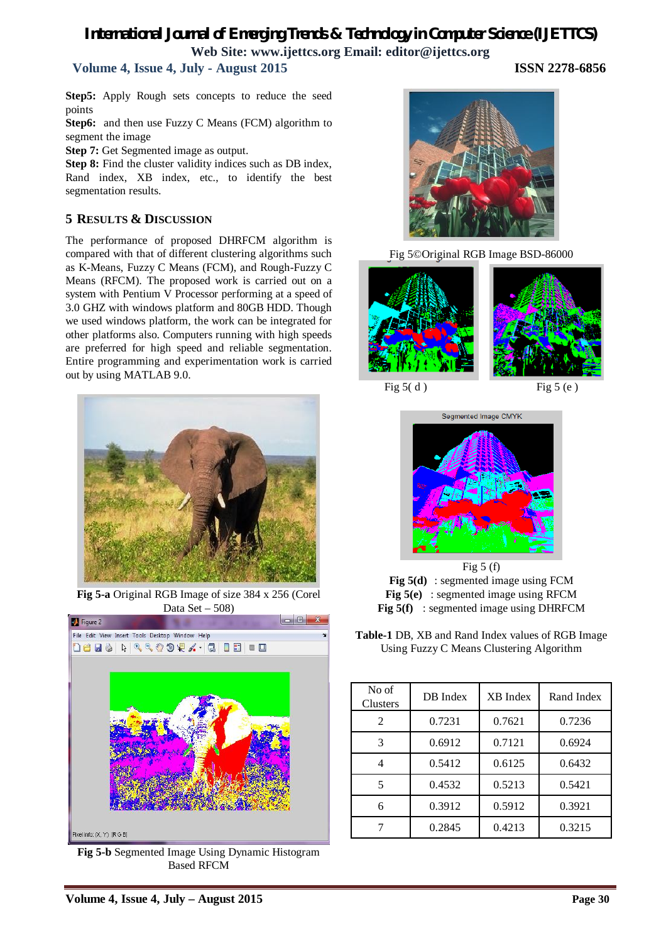# **Volume 4, Issue 4, July - August 2015 ISSN 2278-6856**

**Step5:** Apply Rough sets concepts to reduce the seed points

**Step6:** and then use Fuzzy C Means (FCM) algorithm to segment the image

**Step 7:** Get Segmented image as output.

**Step 8:** Find the cluster validity indices such as DB index, Rand index, XB index, etc., to identify the best segmentation results.

### **5 RESULTS & DISCUSSION**

The performance of proposed DHRFCM algorithm is compared with that of different clustering algorithms such as K-Means, Fuzzy C Means (FCM), and Rough-Fuzzy C Means (RFCM). The proposed work is carried out on a system with Pentium V Processor performing at a speed of 3.0 GHZ with windows platform and 80GB HDD. Though we used windows platform, the work can be integrated for other platforms also. Computers running with high speeds are preferred for high speed and reliable segmentation. Entire programming and experimentation work is carried out by using MATLAB 9.0.



**Fig 5-a** Original RGB Image of size 384 x 256 (Corel Data Set – 508)



**Fig 5-b** Segmented Image Using Dynamic Histogram Based RFCM



Fig 5©Original RGB Image BSD-86000



Fig  $5(d)$  Fig  $5(e)$ 



Fig  $5(f)$ **Fig 5(d)** : segmented image using FCM **Fig 5(e)** : segmented image using RFCM **Fig 5(f)** : segmented image using DHRFCM

**Table-1** DB, XB and Rand Index values of RGB Image Using Fuzzy C Means Clustering Algorithm

| No of<br><b>Clusters</b> | DB Index | XB Index | Rand Index |
|--------------------------|----------|----------|------------|
| 2                        | 0.7231   | 0.7621   | 0.7236     |
| 3                        | 0.6912   | 0.7121   | 0.6924     |
|                          | 0.5412   | 0.6125   | 0.6432     |
| 5                        | 0.4532   | 0.5213   | 0.5421     |
| 6                        | 0.3912   | 0.5912   | 0.3921     |
|                          | 0.2845   | 0.4213   | 0.3215     |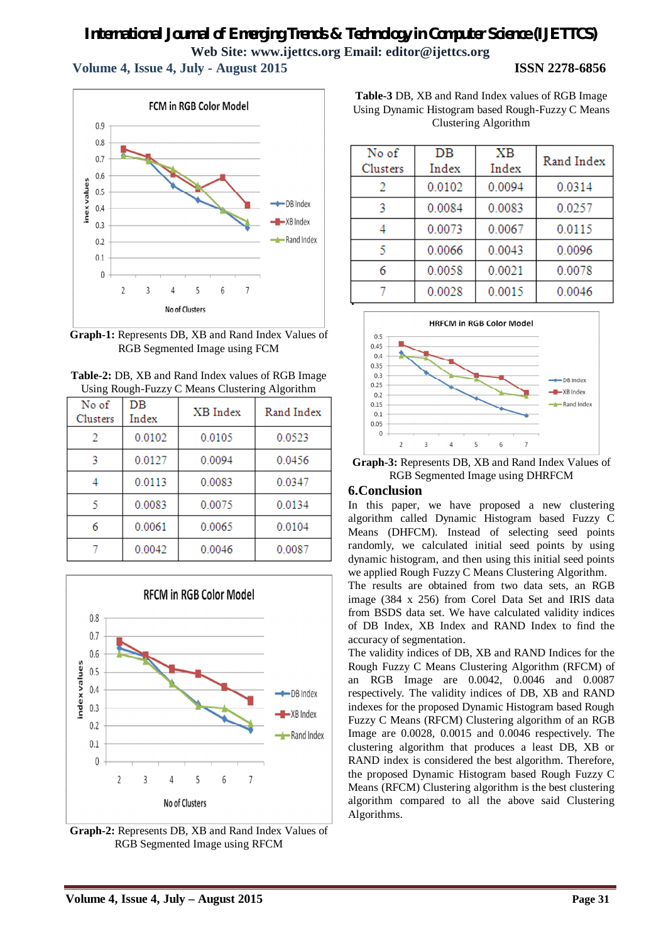### **Volume 4, Issue 4, July - August 2015 ISSN 2278-6856**



**Graph-1:** Represents DB, XB and Rand Index Values of RGB Segmented Image using FCM

| Table-2: DB, XB and Rand Index values of RGB Image |
|----------------------------------------------------|
| Using Rough-Fuzzy C Means Clustering Algorithm     |

| No of<br>Clusters | DВ<br>Index | XB Index | Rand Index |
|-------------------|-------------|----------|------------|
| 2                 | 0.0102      | 0.0105   | 0.0523     |
| 3                 | 0.0127      | 0.0094   | 0.0456     |
|                   | 0.0113      | 0.0083   | 0.0347     |
| 5                 | 0.0083      | 0.0075   | 0.0134     |
| 6                 | 0.0061      | 0.0065   | 0.0104     |
|                   | 0.0042      | 0.0046   | 0.0087     |



**Graph-2:** Represents DB, XB and Rand Index Values of RGB Segmented Image using RFCM

**Table-3** DB, XB and Rand Index values of RGB Image Using Dynamic Histogram based Rough-Fuzzy C Means Clustering Algorithm

| No of    | DB     | XВ     | Rand Index |
|----------|--------|--------|------------|
| Clusters | Index  | Index  |            |
| 2        | 0.0102 | 0.0094 | 0.0314     |
| 3        | 0.0084 | 0.0083 | 0.0257     |
|          | 0.0073 | 0.0067 | 0.0115     |
| 5        | 0.0066 | 0.0043 | 0.0096     |
| 6        | 0.0058 | 0.0021 | 0.0078     |
|          | 0.0028 | 0.0015 | 0.0046     |



**Graph-3:** Represents DB, XB and Rand Index Values of RGB Segmented Image using DHRFCM

### **6.Conclusion**

In this paper, we have proposed a new clustering algorithm called Dynamic Histogram based Fuzzy C Means (DHFCM). Instead of selecting seed points randomly, we calculated initial seed points by using dynamic histogram, and then using this initial seed points we applied Rough Fuzzy C Means Clustering Algorithm.

The results are obtained from two data sets, an RGB image (384 x 256) from Corel Data Set and IRIS data from BSDS data set. We have calculated validity indices of DB Index, XB Index and RAND Index to find the accuracy of segmentation.

The validity indices of DB, XB and RAND Indices for the Rough Fuzzy C Means Clustering Algorithm (RFCM) of an RGB Image are 0.0042, 0.0046 and 0.0087 respectively. The validity indices of DB, XB and RAND indexes for the proposed Dynamic Histogram based Rough Fuzzy C Means (RFCM) Clustering algorithm of an RGB Image are 0.0028, 0.0015 and 0.0046 respectively. The clustering algorithm that produces a least DB, XB or RAND index is considered the best algorithm. Therefore, the proposed Dynamic Histogram based Rough Fuzzy C Means (RFCM) Clustering algorithm is the best clustering algorithm compared to all the above said Clustering Algorithms.